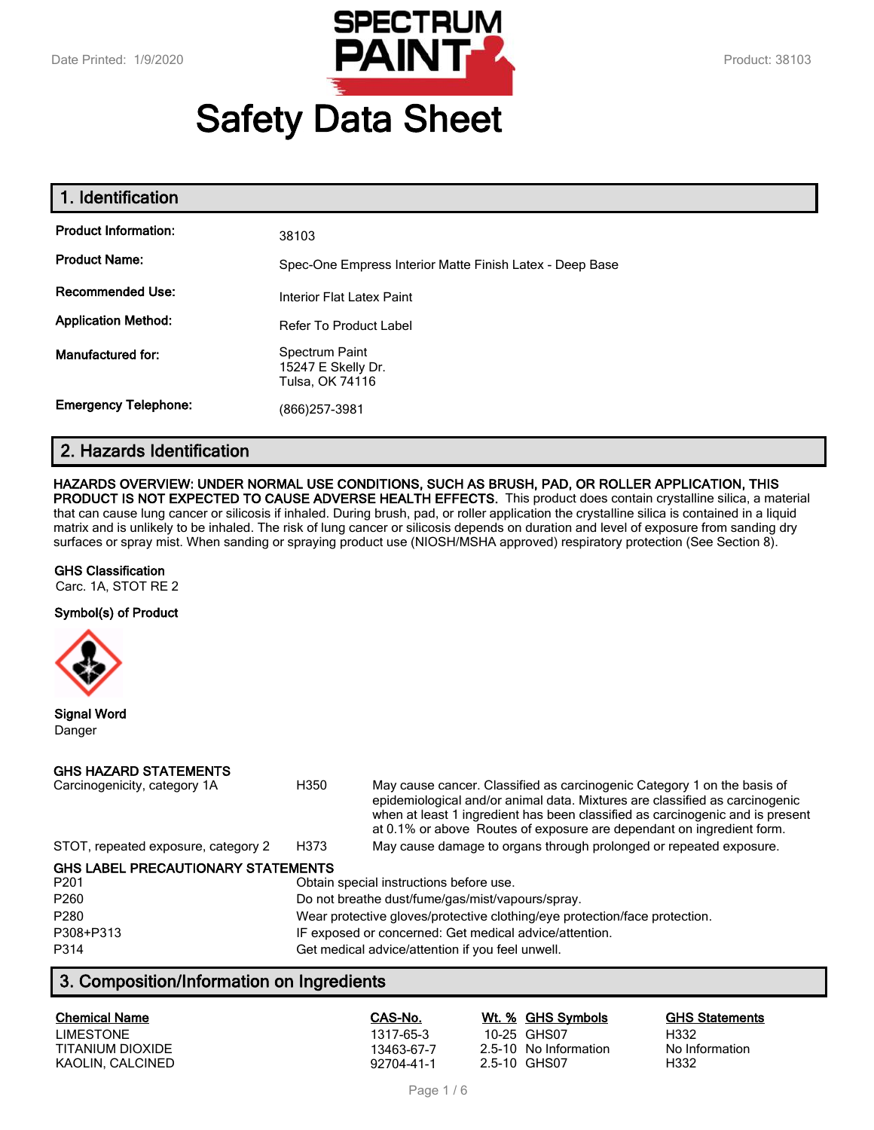

# **Safety Data Sheet**

| 1. Identification           |                                                          |
|-----------------------------|----------------------------------------------------------|
| <b>Product Information:</b> | 38103                                                    |
| <b>Product Name:</b>        | Spec-One Empress Interior Matte Finish Latex - Deep Base |
| <b>Recommended Use:</b>     | Interior Flat Latex Paint                                |
| <b>Application Method:</b>  | <b>Refer To Product Label</b>                            |
| <b>Manufactured for:</b>    | Spectrum Paint<br>15247 E Skelly Dr.<br>Tulsa, OK 74116  |
| <b>Emergency Telephone:</b> | (866) 257-3981                                           |

# **2. Hazards Identification**

#### **HAZARDS OVERVIEW: UNDER NORMAL USE CONDITIONS, SUCH AS BRUSH, PAD, OR ROLLER APPLICATION, THIS**

**PRODUCT IS NOT EXPECTED TO CAUSE ADVERSE HEALTH EFFECTS.** This product does contain crystalline silica, a material that can cause lung cancer or silicosis if inhaled. During brush, pad, or roller application the crystalline silica is contained in a liquid matrix and is unlikely to be inhaled. The risk of lung cancer or silicosis depends on duration and level of exposure from sanding dry surfaces or spray mist. When sanding or spraying product use (NIOSH/MSHA approved) respiratory protection (See Section 8).

#### **GHS Classification**

Carc. 1A, STOT RE 2

#### **Symbol(s) of Product**



**Signal Word** Danger

#### **GHS HAZARD STATEMENTS**

| Carcinogenicity, category 1A              | H350                                                                       | May cause cancer. Classified as carcinogenic Category 1 on the basis of<br>epidemiological and/or animal data. Mixtures are classified as carcinogenic<br>when at least 1 ingredient has been classified as carcinogenic and is present<br>at 0.1% or above Routes of exposure are dependant on ingredient form. |  |
|-------------------------------------------|----------------------------------------------------------------------------|------------------------------------------------------------------------------------------------------------------------------------------------------------------------------------------------------------------------------------------------------------------------------------------------------------------|--|
| STOT, repeated exposure, category 2       | H373                                                                       | May cause damage to organs through prolonged or repeated exposure.                                                                                                                                                                                                                                               |  |
| <b>GHS LABEL PRECAUTIONARY STATEMENTS</b> |                                                                            |                                                                                                                                                                                                                                                                                                                  |  |
| P <sub>201</sub>                          | Obtain special instructions before use.                                    |                                                                                                                                                                                                                                                                                                                  |  |
| P <sub>260</sub>                          | Do not breathe dust/fume/gas/mist/vapours/spray.                           |                                                                                                                                                                                                                                                                                                                  |  |
| P280                                      | Wear protective gloves/protective clothing/eye protection/face protection. |                                                                                                                                                                                                                                                                                                                  |  |
| P308+P313                                 | IF exposed or concerned: Get medical advice/attention.                     |                                                                                                                                                                                                                                                                                                                  |  |
| P314                                      | Get medical advice/attention if you feel unwell.                           |                                                                                                                                                                                                                                                                                                                  |  |

# **3. Composition/Information on Ingredients**

| <b>Chemical Name</b> | CAS-No.    | Wt. % GHS Symbols     | <b>GHS Statements</b> |
|----------------------|------------|-----------------------|-----------------------|
| <b>LIMESTONE</b>     | 1317-65-3  | 10-25 GHS07           | H332                  |
| TITANIUM DIOXIDE     | 13463-67-7 | 2.5-10 No Information | No Information        |
| KAOLIN, CALCINED     | 92704-41-1 | 2.5-10 GHS07          | H332                  |

Page 1 / 6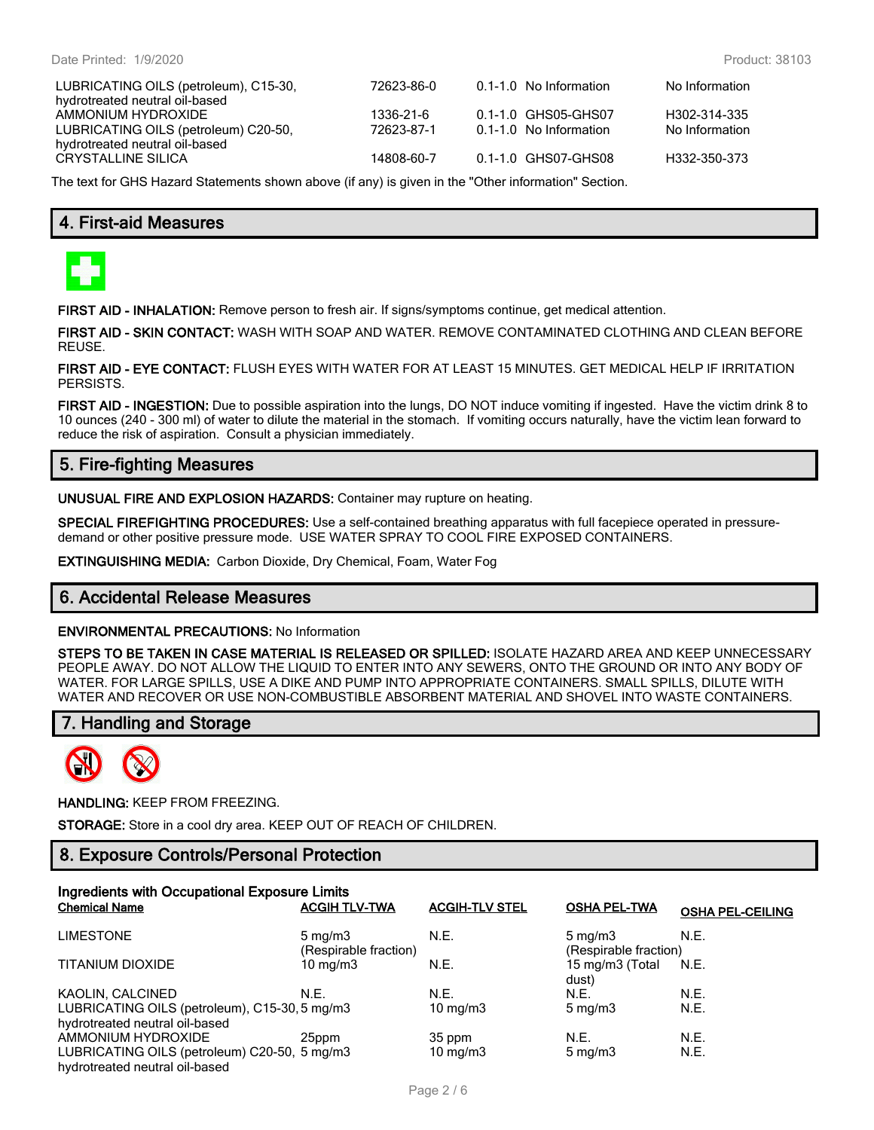| LUBRICATING OILS (petroleum), C15-30, | 72623-86-0 | 0.1-1.0 No Information | No Information |
|---------------------------------------|------------|------------------------|----------------|
| hydrotreated neutral oil-based        |            |                        |                |
| AMMONIUM HYDROXIDE                    | 1336-21-6  | 0.1-1.0 GHS05-GHS07    | H302-314-335   |
| LUBRICATING OILS (petroleum) C20-50,  | 72623-87-1 | 0.1-1.0 No Information | No Information |
| hydrotreated neutral oil-based        |            |                        |                |
| CRYSTALLINE SILICA                    | 14808-60-7 | 0.1-1.0 GHS07-GHS08    | H332-350-373   |
|                                       |            |                        |                |

The text for GHS Hazard Statements shown above (if any) is given in the "Other information" Section.

# **4. First-aid Measures**



**FIRST AID - INHALATION:** Remove person to fresh air. If signs/symptoms continue, get medical attention.

**FIRST AID - SKIN CONTACT:** WASH WITH SOAP AND WATER. REMOVE CONTAMINATED CLOTHING AND CLEAN BEFORE REUSE.

**FIRST AID - EYE CONTACT:** FLUSH EYES WITH WATER FOR AT LEAST 15 MINUTES. GET MEDICAL HELP IF IRRITATION PERSISTS.

**FIRST AID - INGESTION:** Due to possible aspiration into the lungs, DO NOT induce vomiting if ingested. Have the victim drink 8 to 10 ounces (240 - 300 ml) of water to dilute the material in the stomach. If vomiting occurs naturally, have the victim lean forward to reduce the risk of aspiration. Consult a physician immediately.

# **5. Fire-fighting Measures**

**UNUSUAL FIRE AND EXPLOSION HAZARDS:** Container may rupture on heating.

**SPECIAL FIREFIGHTING PROCEDURES:** Use a self-contained breathing apparatus with full facepiece operated in pressuredemand or other positive pressure mode. USE WATER SPRAY TO COOL FIRE EXPOSED CONTAINERS.

**EXTINGUISHING MEDIA:** Carbon Dioxide, Dry Chemical, Foam, Water Fog

## **6. Accidental Release Measures**

#### **ENVIRONMENTAL PRECAUTIONS:** No Information

**STEPS TO BE TAKEN IN CASE MATERIAL IS RELEASED OR SPILLED:** ISOLATE HAZARD AREA AND KEEP UNNECESSARY PEOPLE AWAY. DO NOT ALLOW THE LIQUID TO ENTER INTO ANY SEWERS, ONTO THE GROUND OR INTO ANY BODY OF WATER. FOR LARGE SPILLS, USE A DIKE AND PUMP INTO APPROPRIATE CONTAINERS. SMALL SPILLS, DILUTE WITH WATER AND RECOVER OR USE NON-COMBUSTIBLE ABSORBENT MATERIAL AND SHOVEL INTO WASTE CONTAINERS.

## **7. Handling and Storage**



**HANDLING:** KEEP FROM FREEZING.

**STORAGE:** Store in a cool dry area. KEEP OUT OF REACH OF CHILDREN.

## **8. Exposure Controls/Personal Protection**

| Ingredients with Occupational Exposure Limits                                   |                                           |                       |                                           |                         |
|---------------------------------------------------------------------------------|-------------------------------------------|-----------------------|-------------------------------------------|-------------------------|
| <b>Chemical Name</b>                                                            | <b>ACGIH TLV-TWA</b>                      | <b>ACGIH-TLV STEL</b> | <b>OSHA PEL-TWA</b>                       | <b>OSHA PEL-CEILING</b> |
| <b>LIMESTONE</b>                                                                | $5 \text{ mg/m}$<br>(Respirable fraction) | N.E.                  | $5 \text{ mg/m}$<br>(Respirable fraction) | N.E.                    |
| <b>TITANIUM DIOXIDE</b>                                                         | $10 \text{ mg/m}$                         | N.E.                  | 15 mg/m3 (Total<br>dust)                  | N.E.                    |
| KAOLIN, CALCINED                                                                | N.E.                                      | N.E.                  | N.E.                                      | N.E.                    |
| LUBRICATING OILS (petroleum), C15-30, 5 mg/m3<br>hydrotreated neutral oil-based |                                           | 10 mg/m $3$           | $5 \text{ mg/m}$                          | N.E.                    |
| AMMONIUM HYDROXIDE                                                              | 25ppm                                     | 35 ppm                | N.E.                                      | N.E.                    |
| LUBRICATING OILS (petroleum) C20-50, 5 mg/m3<br>hydrotreated neutral oil-based  |                                           | 10 mg/m $3$           | $5 \text{ mg/m}$                          | N.E.                    |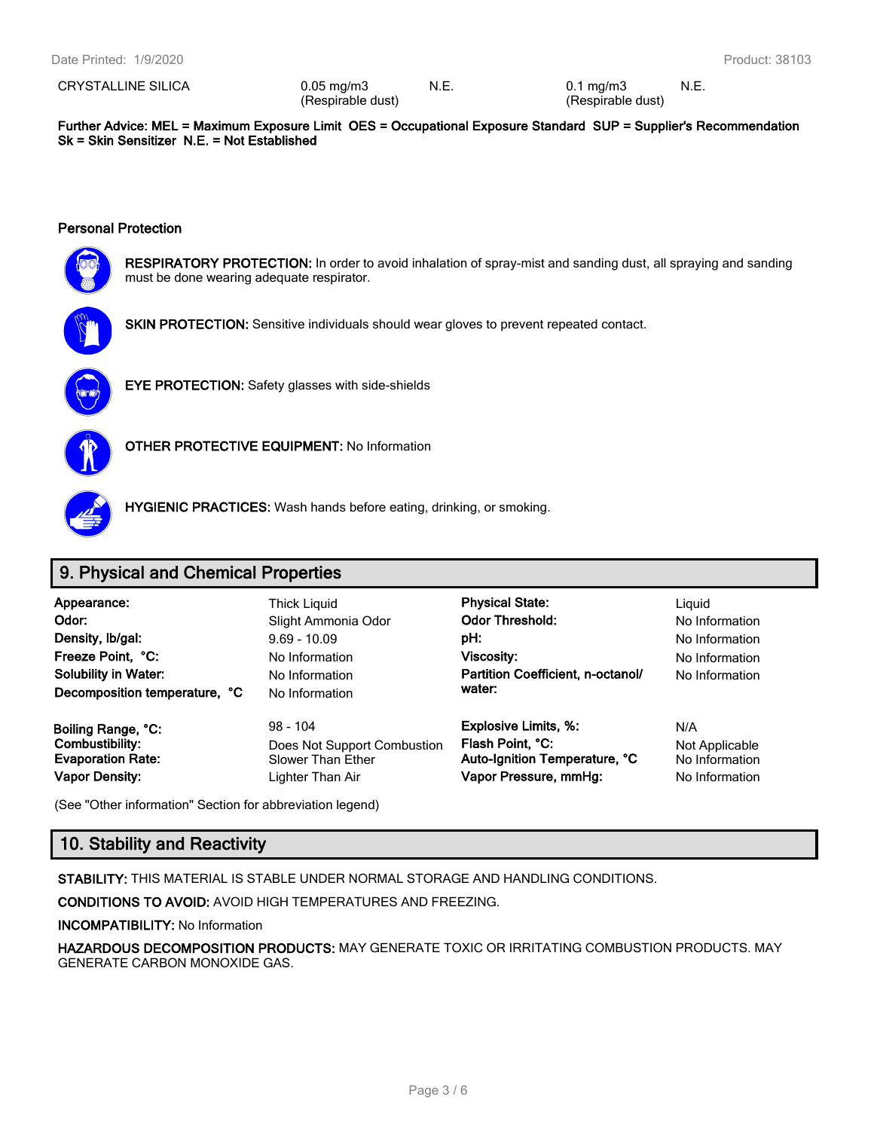CRYSTALLINE SILICA 0.05 mg/m3

(Respirable dust)

N.E. 0.1 mg/m3 (Respirable dust) N.E.

**Further Advice: MEL = Maximum Exposure Limit OES = Occupational Exposure Standard SUP = Supplier's Recommendation Sk = Skin Sensitizer N.E. = Not Established**

#### **Personal Protection**



**RESPIRATORY PROTECTION:** In order to avoid inhalation of spray-mist and sanding dust, all spraying and sanding must be done wearing adequate respirator.



**SKIN PROTECTION:** Sensitive individuals should wear gloves to prevent repeated contact.



**EYE PROTECTION:** Safety glasses with side-shields



**OTHER PROTECTIVE EQUIPMENT:** No Information



**HYGIENIC PRACTICES:** Wash hands before eating, drinking, or smoking.

## **9. Physical and Chemical Properties**

**Odor:** No Information Slight Ammonia Odor **Color Threshold:** No Information **Density, Ib/gal:** 9.69 - 10.09 **pH: pH:** No Information **No Information Freeze Point, °C:** No Information **Viscosity:** No Information **Partition Coefficient, n-octanol/ No Information No Information No Information No Information** No Information **Decomposition temperature, °C** No Information

**Vapor Density:** Lighter Than Air **Vapor Pressure, mmHg:** No Information

**Appearance:** Thick Liquid **Physical State:** Liquid **water:**

**Boiling Range, °C:** 98 - 104 **Explosive Limits, %:** N/A **Combustibility:** Does Not Support Combustion **Flash Point, °C:** Not Applicable **Evaporation Rate:** Slower Than Ether **Auto-Ignition Temperature, °C** No Information

(See "Other information" Section for abbreviation legend)

# **10. Stability and Reactivity**

**STABILITY:** THIS MATERIAL IS STABLE UNDER NORMAL STORAGE AND HANDLING CONDITIONS.

**CONDITIONS TO AVOID:** AVOID HIGH TEMPERATURES AND FREEZING.

**INCOMPATIBILITY:** No Information

**HAZARDOUS DECOMPOSITION PRODUCTS:** MAY GENERATE TOXIC OR IRRITATING COMBUSTION PRODUCTS. MAY GENERATE CARBON MONOXIDE GAS.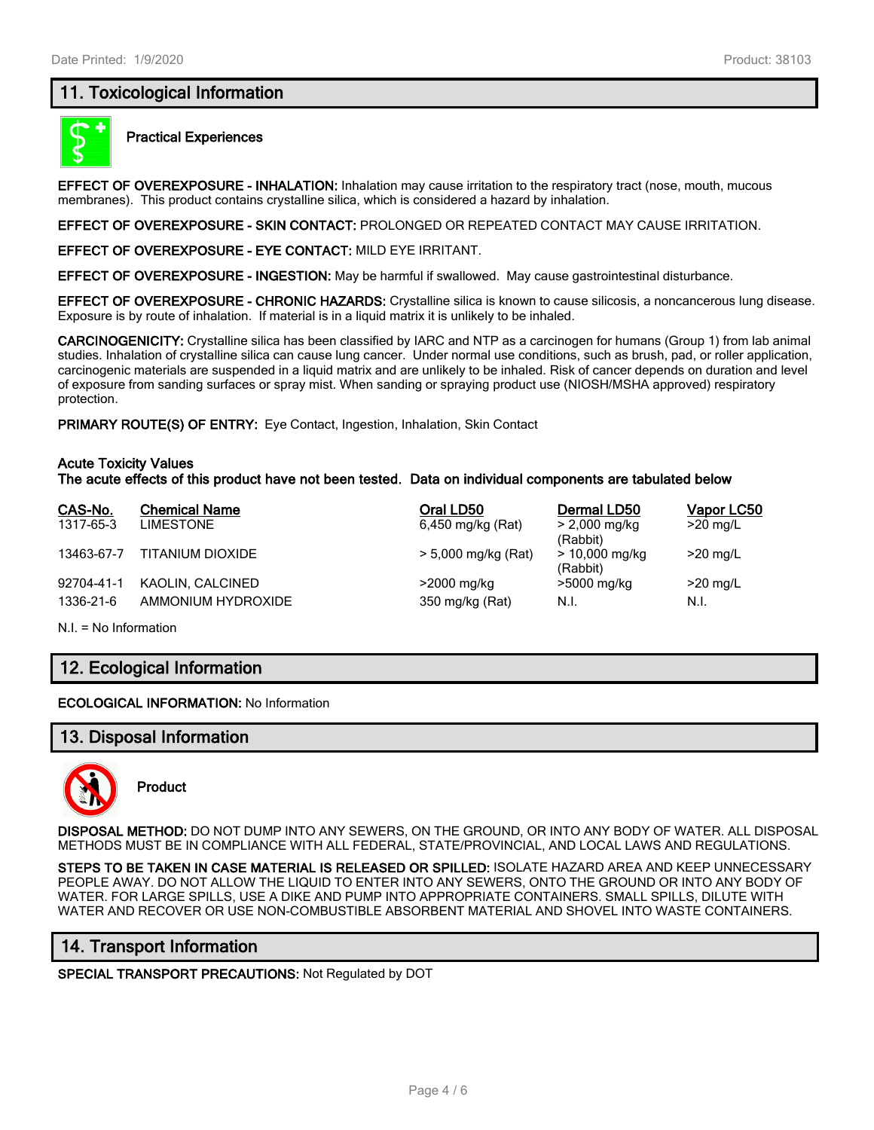## **11. Toxicological Information**



#### **Practical Experiences**

**EFFECT OF OVEREXPOSURE - INHALATION:** Inhalation may cause irritation to the respiratory tract (nose, mouth, mucous membranes). This product contains crystalline silica, which is considered a hazard by inhalation.

**EFFECT OF OVEREXPOSURE - SKIN CONTACT:** PROLONGED OR REPEATED CONTACT MAY CAUSE IRRITATION.

**EFFECT OF OVEREXPOSURE - EYE CONTACT:** MILD EYE IRRITANT.

**EFFECT OF OVEREXPOSURE - INGESTION:** May be harmful if swallowed. May cause gastrointestinal disturbance.

**EFFECT OF OVEREXPOSURE - CHRONIC HAZARDS:** Crystalline silica is known to cause silicosis, a noncancerous lung disease. Exposure is by route of inhalation. If material is in a liquid matrix it is unlikely to be inhaled.

**CARCINOGENICITY:** Crystalline silica has been classified by IARC and NTP as a carcinogen for humans (Group 1) from lab animal studies. Inhalation of crystalline silica can cause lung cancer. Under normal use conditions, such as brush, pad, or roller application, carcinogenic materials are suspended in a liquid matrix and are unlikely to be inhaled. Risk of cancer depends on duration and level of exposure from sanding surfaces or spray mist. When sanding or spraying product use (NIOSH/MSHA approved) respiratory protection.

**PRIMARY ROUTE(S) OF ENTRY:** Eye Contact, Ingestion, Inhalation, Skin Contact

#### **Acute Toxicity Values**

**The acute effects of this product have not been tested. Data on individual components are tabulated below**

| CAS-No.    | <b>Chemical Name</b> | Oral LD50           | Dermal LD50                            | Vapor LC50 |
|------------|----------------------|---------------------|----------------------------------------|------------|
| 1317-65-3  | LIMESTONE            | 6,450 mg/kg (Rat)   | $> 2,000 \,\mathrm{mg/kg}$<br>(Rabbit) | $>20$ mg/L |
| 13463-67-7 | TITANIUM DIOXIDE     | > 5,000 mg/kg (Rat) | $> 10,000$ mg/kg<br>(Rabbit)           | $>20$ mg/L |
| 92704-41-1 | KAOLIN, CALCINED     | >2000 mg/kg         | >5000 mg/kg                            | $>20$ mg/L |
| 1336-21-6  | AMMONIUM HYDROXIDE   | 350 mg/kg (Rat)     | N.I.                                   | N.I.       |

N.I. = No Information

## **12. Ecological Information**

**ECOLOGICAL INFORMATION:** No Information

#### **13. Disposal Information**



**Product**

**DISPOSAL METHOD:** DO NOT DUMP INTO ANY SEWERS, ON THE GROUND, OR INTO ANY BODY OF WATER. ALL DISPOSAL METHODS MUST BE IN COMPLIANCE WITH ALL FEDERAL, STATE/PROVINCIAL, AND LOCAL LAWS AND REGULATIONS.

**STEPS TO BE TAKEN IN CASE MATERIAL IS RELEASED OR SPILLED:** ISOLATE HAZARD AREA AND KEEP UNNECESSARY PEOPLE AWAY. DO NOT ALLOW THE LIQUID TO ENTER INTO ANY SEWERS, ONTO THE GROUND OR INTO ANY BODY OF WATER. FOR LARGE SPILLS, USE A DIKE AND PUMP INTO APPROPRIATE CONTAINERS. SMALL SPILLS, DILUTE WITH WATER AND RECOVER OR USE NON-COMBUSTIBLE ABSORBENT MATERIAL AND SHOVEL INTO WASTE CONTAINERS.

## **14. Transport Information**

**SPECIAL TRANSPORT PRECAUTIONS:** Not Regulated by DOT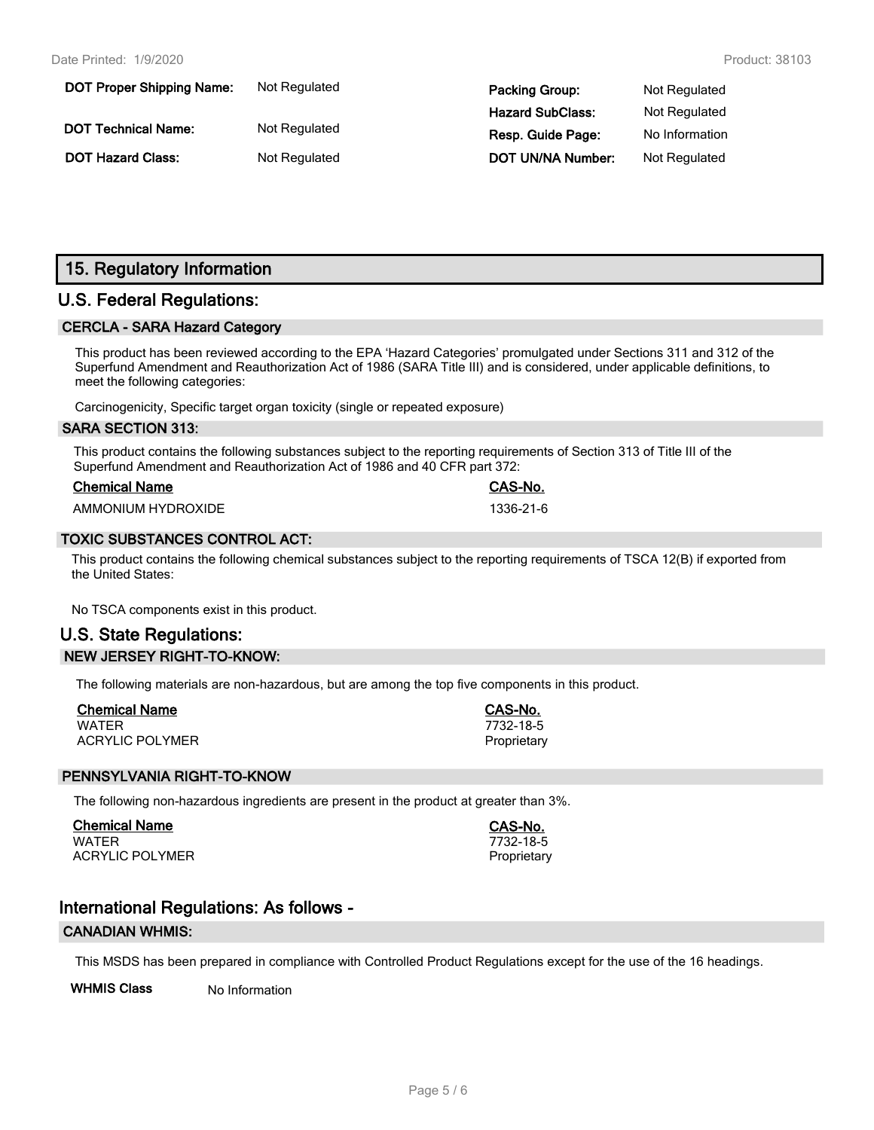| <b>DOT Proper Shipping Name:</b> | Not Regulated | <b>Packing Group:</b>    | Not Regulated  |
|----------------------------------|---------------|--------------------------|----------------|
|                                  |               | <b>Hazard SubClass:</b>  | Not Regulated  |
| <b>DOT Technical Name:</b>       | Not Regulated | Resp. Guide Page:        | No Information |
| <b>DOT Hazard Class:</b>         | Not Regulated | <b>DOT UN/NA Number:</b> | Not Regulated  |

# **15. Regulatory Information**

## **U.S. Federal Regulations:**

#### **CERCLA - SARA Hazard Category**

This product has been reviewed according to the EPA 'Hazard Categories' promulgated under Sections 311 and 312 of the Superfund Amendment and Reauthorization Act of 1986 (SARA Title III) and is considered, under applicable definitions, to meet the following categories:

Carcinogenicity, Specific target organ toxicity (single or repeated exposure)

#### **SARA SECTION 313:**

This product contains the following substances subject to the reporting requirements of Section 313 of Title III of the Superfund Amendment and Reauthorization Act of 1986 and 40 CFR part 372:

| <b>Chemical Name</b> |  |
|----------------------|--|
|                      |  |

AMMONIUM HYDROXIDE 1336-21-6

#### **TOXIC SUBSTANCES CONTROL ACT:**

This product contains the following chemical substances subject to the reporting requirements of TSCA 12(B) if exported from the United States:

No TSCA components exist in this product.

# **U.S. State Regulations: NEW JERSEY RIGHT-TO-KNOW:**

The following materials are non-hazardous, but are among the top five components in this product.

| <b>Chemical Name</b>   | CAS-No.     |
|------------------------|-------------|
| <b>WATER</b>           | 7732-18-5   |
| <b>ACRYLIC POLYMER</b> | Proprietary |

#### **PENNSYLVANIA RIGHT-TO-KNOW**

The following non-hazardous ingredients are present in the product at greater than 3%.

**Chemical Name CAS-No.** WATER 7732-18-5 ACRYLIC POLYMER **Proprietary** Proprietary

**Chemical Name CAS-No.**

# **International Regulations: As follows -**

#### **CANADIAN WHMIS:**

This MSDS has been prepared in compliance with Controlled Product Regulations except for the use of the 16 headings.

**WHMIS Class** No Information